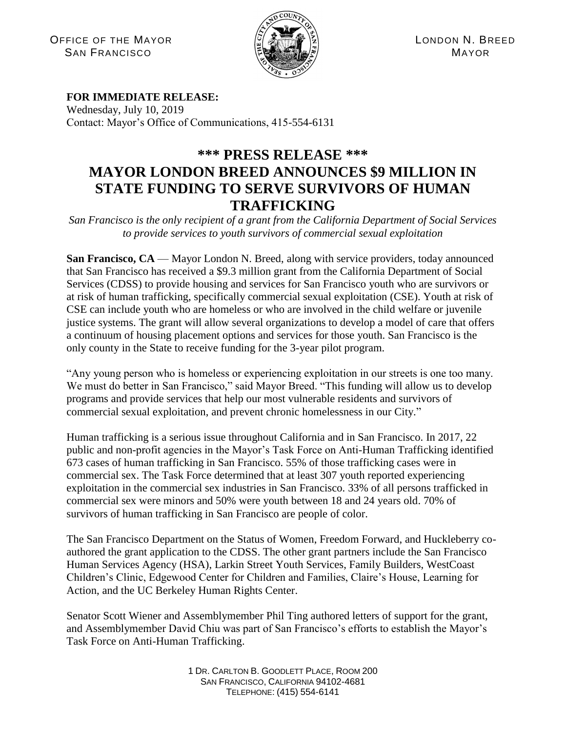OFFICE OF THE MAYOR (C) A (S) A (S) CONDON N. BREED SAN FRANCISCO **SAN FRANCISCO MAYOR** 



## **FOR IMMEDIATE RELEASE:**

Wednesday, July 10, 2019 Contact: Mayor's Office of Communications, 415-554-6131

## **\*\*\* PRESS RELEASE \*\*\* MAYOR LONDON BREED ANNOUNCES \$9 MILLION IN STATE FUNDING TO SERVE SURVIVORS OF HUMAN TRAFFICKING**

*San Francisco is the only recipient of a grant from the California Department of Social Services to provide services to youth survivors of commercial sexual exploitation*

**San Francisco, CA** — Mayor London N. Breed, along with service providers, today announced that San Francisco has received a \$9.3 million grant from the California Department of Social Services (CDSS) to provide housing and services for San Francisco youth who are survivors or at risk of human trafficking, specifically commercial sexual exploitation (CSE). Youth at risk of CSE can include youth who are homeless or who are involved in the child welfare or juvenile justice systems. The grant will allow several organizations to develop a model of care that offers a continuum of housing placement options and services for those youth. San Francisco is the only county in the State to receive funding for the 3-year pilot program.

"Any young person who is homeless or experiencing exploitation in our streets is one too many. We must do better in San Francisco," said Mayor Breed. "This funding will allow us to develop programs and provide services that help our most vulnerable residents and survivors of commercial sexual exploitation, and prevent chronic homelessness in our City."

Human trafficking is a serious issue throughout California and in San Francisco. In 2017, 22 public and non-profit agencies in the Mayor's Task Force on Anti-Human Trafficking identified 673 cases of human trafficking in San Francisco. 55% of those trafficking cases were in commercial sex. The Task Force determined that at least 307 youth reported experiencing exploitation in the commercial sex industries in San Francisco. 33% of all persons trafficked in commercial sex were minors and 50% were youth between 18 and 24 years old. 70% of survivors of human trafficking in San Francisco are people of color.

The San Francisco Department on the Status of Women, Freedom Forward, and Huckleberry coauthored the grant application to the CDSS. The other grant partners include the San Francisco Human Services Agency (HSA), Larkin Street Youth Services, Family Builders, WestCoast Children's Clinic, Edgewood Center for Children and Families, Claire's House, Learning for Action, and the UC Berkeley Human Rights Center.

Senator Scott Wiener and Assemblymember Phil Ting authored letters of support for the grant, and Assemblymember David Chiu was part of San Francisco's efforts to establish the Mayor's Task Force on Anti-Human Trafficking.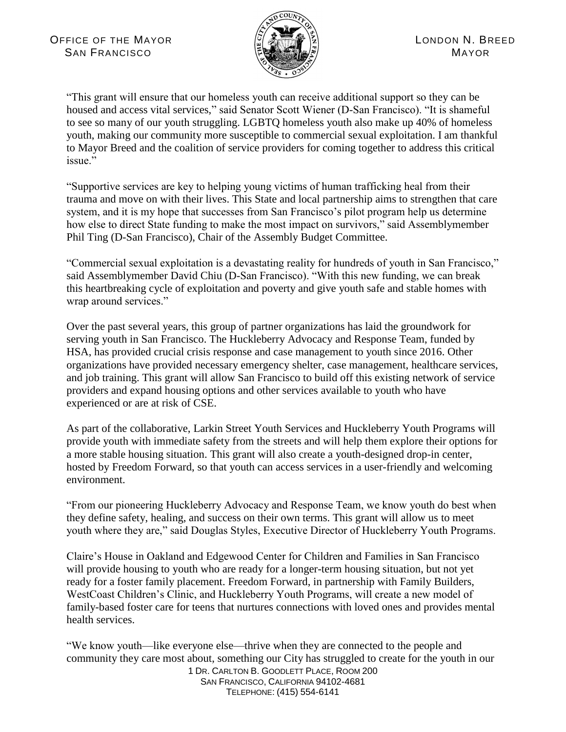

"This grant will ensure that our homeless youth can receive additional support so they can be housed and access vital services," said Senator Scott Wiener (D-San Francisco). "It is shameful to see so many of our youth struggling. LGBTQ homeless youth also make up 40% of homeless youth, making our community more susceptible to commercial sexual exploitation. I am thankful to Mayor Breed and the coalition of service providers for coming together to address this critical issue."

"Supportive services are key to helping young victims of human trafficking heal from their trauma and move on with their lives. This State and local partnership aims to strengthen that care system, and it is my hope that successes from San Francisco's pilot program help us determine how else to direct State funding to make the most impact on survivors," said Assemblymember Phil Ting (D-San Francisco), Chair of the Assembly Budget Committee.

"Commercial sexual exploitation is a devastating reality for hundreds of youth in San Francisco," said Assemblymember David Chiu (D-San Francisco). "With this new funding, we can break this heartbreaking cycle of exploitation and poverty and give youth safe and stable homes with wrap around services."

Over the past several years, this group of partner organizations has laid the groundwork for serving youth in San Francisco. The Huckleberry Advocacy and Response Team, funded by HSA, has provided crucial crisis response and case management to youth since 2016. Other organizations have provided necessary emergency shelter, case management, healthcare services, and job training. This grant will allow San Francisco to build off this existing network of service providers and expand housing options and other services available to youth who have experienced or are at risk of CSE.

As part of the collaborative, Larkin Street Youth Services and Huckleberry Youth Programs will provide youth with immediate safety from the streets and will help them explore their options for a more stable housing situation. This grant will also create a youth-designed drop-in center, hosted by Freedom Forward, so that youth can access services in a user-friendly and welcoming environment.

"From our pioneering Huckleberry Advocacy and Response Team, we know youth do best when they define safety, healing, and success on their own terms. This grant will allow us to meet youth where they are," said Douglas Styles, Executive Director of Huckleberry Youth Programs.

Claire's House in Oakland and Edgewood Center for Children and Families in San Francisco will provide housing to youth who are ready for a longer-term housing situation, but not yet ready for a foster family placement. Freedom Forward, in partnership with Family Builders, WestCoast Children's Clinic, and Huckleberry Youth Programs, will create a new model of family-based foster care for teens that nurtures connections with loved ones and provides mental health services.

1 DR. CARLTON B. GOODLETT PLACE, ROOM 200 "We know youth—like everyone else—thrive when they are connected to the people and community they care most about, something our City has struggled to create for the youth in our

SAN FRANCISCO, CALIFORNIA 94102-4681 TELEPHONE: (415) 554-6141